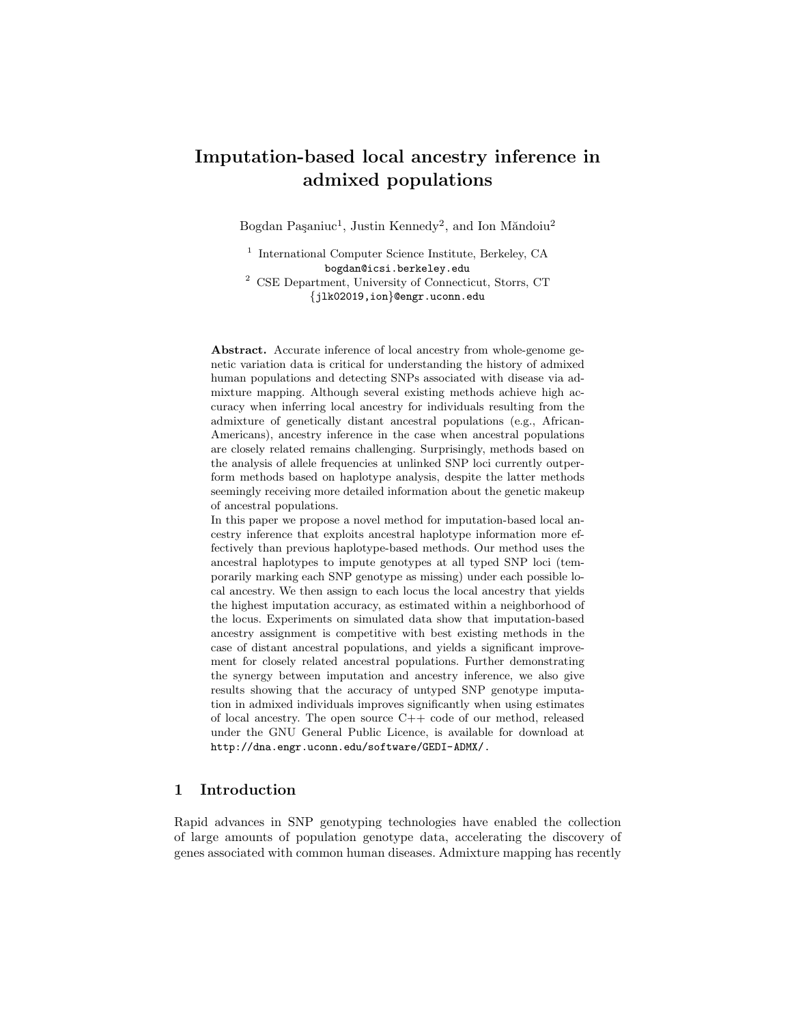# Imputation-based local ancestry inference in admixed populations

Bogdan Paşaniuc<sup>1</sup>, Justin Kennedy<sup>2</sup>, and Ion Măndoiu<sup>2</sup>

<sup>1</sup> International Computer Science Institute, Berkeley, CA bogdan@icsi.berkeley.edu <sup>2</sup> CSE Department, University of Connecticut, Storrs, CT

{jlk02019,ion}@engr.uconn.edu

Abstract. Accurate inference of local ancestry from whole-genome genetic variation data is critical for understanding the history of admixed human populations and detecting SNPs associated with disease via admixture mapping. Although several existing methods achieve high accuracy when inferring local ancestry for individuals resulting from the admixture of genetically distant ancestral populations (e.g., African-Americans), ancestry inference in the case when ancestral populations are closely related remains challenging. Surprisingly, methods based on the analysis of allele frequencies at unlinked SNP loci currently outperform methods based on haplotype analysis, despite the latter methods seemingly receiving more detailed information about the genetic makeup of ancestral populations.

In this paper we propose a novel method for imputation-based local ancestry inference that exploits ancestral haplotype information more effectively than previous haplotype-based methods. Our method uses the ancestral haplotypes to impute genotypes at all typed SNP loci (temporarily marking each SNP genotype as missing) under each possible local ancestry. We then assign to each locus the local ancestry that yields the highest imputation accuracy, as estimated within a neighborhood of the locus. Experiments on simulated data show that imputation-based ancestry assignment is competitive with best existing methods in the case of distant ancestral populations, and yields a significant improvement for closely related ancestral populations. Further demonstrating the synergy between imputation and ancestry inference, we also give results showing that the accuracy of untyped SNP genotype imputation in admixed individuals improves significantly when using estimates of local ancestry. The open source C++ code of our method, released under the GNU General Public Licence, is available for download at http://dna.engr.uconn.edu/software/GEDI-ADMX/.

## 1 Introduction

Rapid advances in SNP genotyping technologies have enabled the collection of large amounts of population genotype data, accelerating the discovery of genes associated with common human diseases. Admixture mapping has recently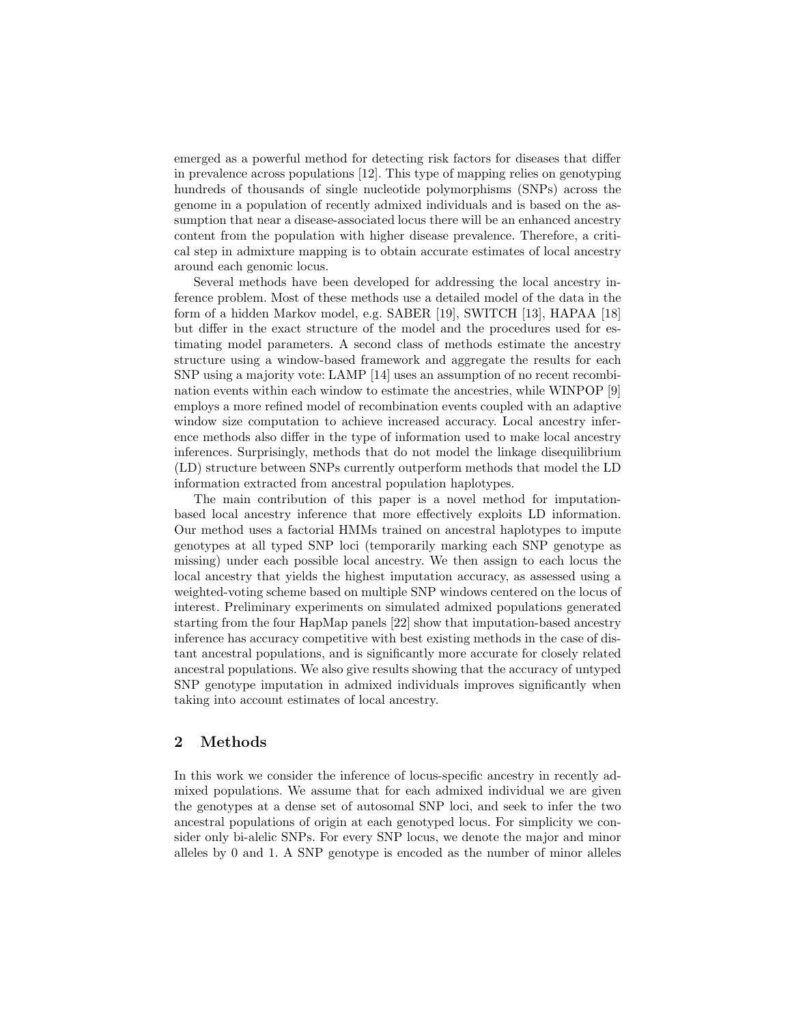emerged as a powerful method for detecting risk factors for diseases that differ in prevalence across populations [12]. This type of mapping relies on genotyping hundreds of thousands of single nucleotide polymorphisms (SNPs) across the genome in a population of recently admixed individuals and is based on the assumption that near a disease-associated locus there will be an enhanced ancestry content from the population with higher disease prevalence. Therefore, a critical step in admixture mapping is to obtain accurate estimates of local ancestry around each genomic locus.

Several methods have been developed for addressing the local ancestry inference problem. Most of these methods use a detailed model of the data in the form of a hidden Markov model, e.g. SABER [19], SWITCH [13], HAPAA [18] but differ in the exact structure of the model and the procedures used for estimating model parameters. A second class of methods estimate the ancestry structure using a window-based framework and aggregate the results for each SNP using a majority vote: LAMP [14] uses an assumption of no recent recombination events within each window to estimate the ancestries, while WINPOP [9] employs a more refined model of recombination events coupled with an adaptive window size computation to achieve increased accuracy. Local ancestry inference methods also differ in the type of information used to make local ancestry inferences. Surprisingly, methods that do not model the linkage disequilibrium (LD) structure between SNPs currently outperform methods that model the LD information extracted from ancestral population haplotypes.

The main contribution of this paper is a novel method for imputationbased local ancestry inference that more effectively exploits LD information. Our method uses a factorial HMMs trained on ancestral haplotypes to impute genotypes at all typed SNP loci (temporarily marking each SNP genotype as missing) under each possible local ancestry. We then assign to each locus the local ancestry that yields the highest imputation accuracy, as assessed using a weighted-voting scheme based on multiple SNP windows centered on the locus of interest. Preliminary experiments on simulated admixed populations generated starting from the four HapMap panels [22] show that imputation-based ancestry inference has accuracy competitive with best existing methods in the case of distant ancestral populations, and is significantly more accurate for closely related ancestral populations. We also give results showing that the accuracy of untyped SNP genotype imputation in admixed individuals improves significantly when taking into account estimates of local ancestry.

## 2 Methods

In this work we consider the inference of locus-specific ancestry in recently admixed populations. We assume that for each admixed individual we are given the genotypes at a dense set of autosomal SNP loci, and seek to infer the two ancestral populations of origin at each genotyped locus. For simplicity we consider only bi-alelic SNPs. For every SNP locus, we denote the major and minor alleles by 0 and 1. A SNP genotype is encoded as the number of minor alleles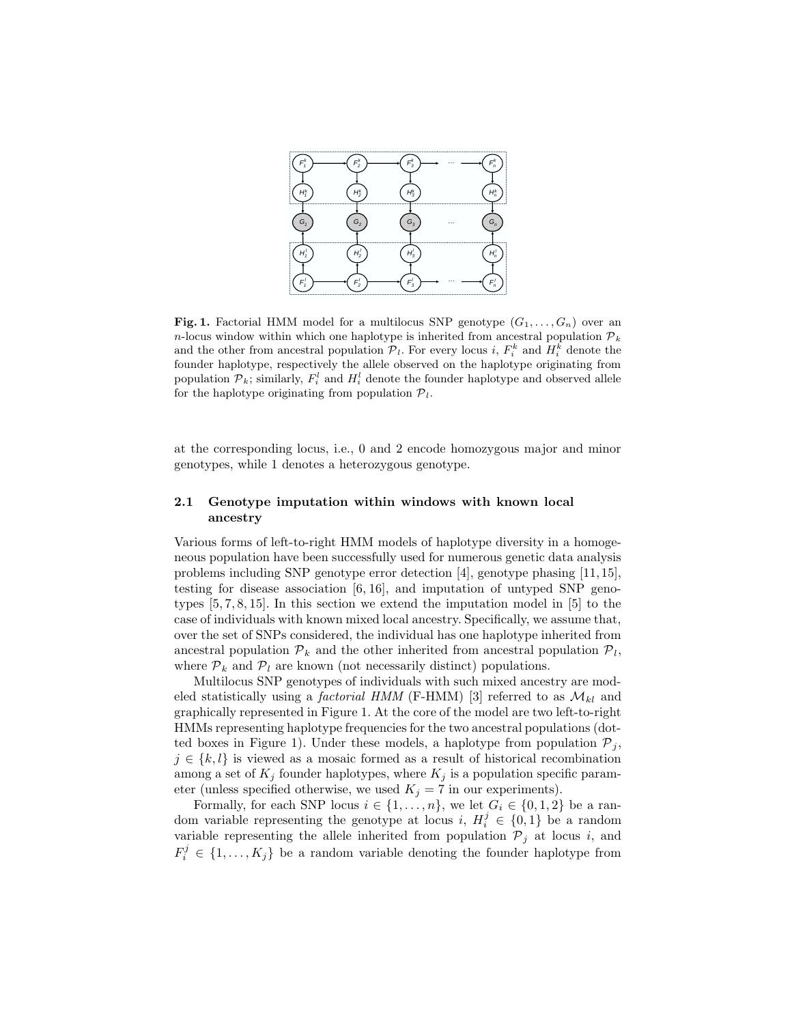

Fig. 1. Factorial HMM model for a multilocus SNP genotype  $(G_1, \ldots, G_n)$  over an n-locus window within which one haplotype is inherited from ancestral population  $\mathcal{P}_k$ and the other from ancestral population  $\mathcal{P}_l$ . For every locus i,  $F_i^k$  and  $H_i^k$  denote the founder haplotype, respectively the allele observed on the haplotype originating from population  $\mathcal{P}_k$ ; similarly,  $F_i^l$  and  $H_i^l$  denote the founder haplotype and observed allele for the haplotype originating from population  $\mathcal{P}_l$ .

at the corresponding locus, i.e., 0 and 2 encode homozygous major and minor genotypes, while 1 denotes a heterozygous genotype.

### 2.1 Genotype imputation within windows with known local ancestry

Various forms of left-to-right HMM models of haplotype diversity in a homogeneous population have been successfully used for numerous genetic data analysis problems including SNP genotype error detection [4], genotype phasing [11,15], testing for disease association  $[6, 16]$ , and imputation of untyped SNP genotypes [5, 7, 8, 15]. In this section we extend the imputation model in [5] to the case of individuals with known mixed local ancestry. Specifically, we assume that, over the set of SNPs considered, the individual has one haplotype inherited from ancestral population  $\mathcal{P}_k$  and the other inherited from ancestral population  $\mathcal{P}_l$ , where  $\mathcal{P}_k$  and  $\mathcal{P}_l$  are known (not necessarily distinct) populations.

Multilocus SNP genotypes of individuals with such mixed ancestry are modeled statistically using a *factorial HMM* (F-HMM) [3] referred to as  $\mathcal{M}_{kl}$  and graphically represented in Figure 1. At the core of the model are two left-to-right HMMs representing haplotype frequencies for the two ancestral populations (dotted boxes in Figure 1). Under these models, a haplotype from population  $\mathcal{P}_i$ ,  $j \in \{k, l\}$  is viewed as a mosaic formed as a result of historical recombination among a set of  $K_i$  founder haplotypes, where  $K_i$  is a population specific parameter (unless specified otherwise, we used  $K_i = 7$  in our experiments).

Formally, for each SNP locus  $i \in \{1, \ldots, n\}$ , we let  $G_i \in \{0, 1, 2\}$  be a random variable representing the genotype at locus *i*,  $H_i^j \in \{0,1\}$  be a random variable representing the allele inherited from population  $\mathcal{P}_j$  at locus i, and  $F_i^j \in \{1, ..., K_j\}$  be a random variable denoting the founder haplotype from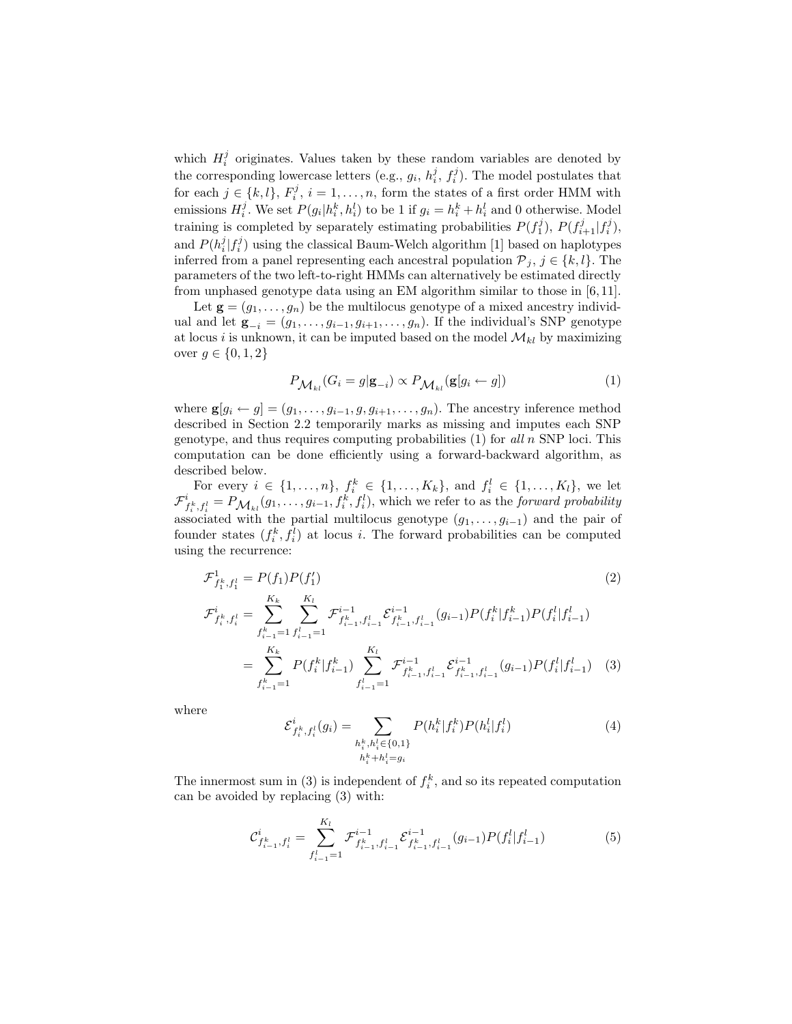which  $H_i^j$  originates. Values taken by these random variables are denoted by the corresponding lowercase letters (e.g.,  $g_i$ ,  $h_i^j$ ,  $f_i^j$ ). The model postulates that for each  $j \in \{k, l\}$ ,  $F_i^j$ ,  $i = 1, ..., n$ , form the states of a first order HMM with emissions  $H_i^j$ . We set  $P(g_i|h_i^k, h_i^l)$  to be 1 if  $g_i = h_i^k + h_i^l$  and 0 otherwise. Model training is completed by separately estimating probabilities  $P(f_1^j)$ ,  $P(f_{i+1}^j|f_i^j)$ , and  $P(h_i^j|f_i^j)$  using the classical Baum-Welch algorithm [1] based on haplotypes inferred from a panel representing each ancestral population  $\mathcal{P}_j$ ,  $j \in \{k, l\}$ . The parameters of the two left-to-right HMMs can alternatively be estimated directly from unphased genotype data using an EM algorithm similar to those in [6,11].

Let  $\mathbf{g} = (g_1, \ldots, g_n)$  be the multilocus genotype of a mixed ancestry individual and let  $\mathbf{g}_{-i} = (g_1, \ldots, g_{i-1}, g_{i+1}, \ldots, g_n)$ . If the individual's SNP genotype at locus i is unknown, it can be imputed based on the model  $\mathcal{M}_{kl}$  by maximizing over *g* ∈ {0, 1, 2}

$$
P_{\mathcal{M}_{kl}}(G_i = g | \mathbf{g}_{-i}) \propto P_{\mathcal{M}_{kl}}(\mathbf{g}[g_i \leftarrow g])
$$
\n(1)

where  $g[g_i \leftarrow g] = (g_1, \ldots, g_{i-1}, g, g_{i+1}, \ldots, g_n)$ . The ancestry inference method described in Section 2.2 temporarily marks as missing and imputes each SNP genotype, and thus requires computing probabilities  $(1)$  for all n SNP loci. This computation can be done efficiently using a forward-backward algorithm, as described below.

For every  $i \in \{1, ..., n\}$ ,  $f_i^k \in \{1, ..., K_k\}$ , and  $f_i^l \in \{1, ..., K_l\}$ , we let  $\mathcal{F}^i_{f^k_i, f^l_i} = P_{\mathcal{M}_{kl}}(g_1, \ldots, g_{i-1}, f^k_i, f^l_i)$ , which we refer to as the *forward probability* associated with the partial multilocus genotype  $(g_1, \ldots, g_{i-1})$  and the pair of founder states  $(f_i^k, f_i^l)$  at locus i. The forward probabilities can be computed using the recurrence:

$$
\mathcal{F}_{f_i^k, f_i^l}^i = P(f_1)P(f_1') \tag{2}
$$
\n
$$
\mathcal{F}_{f_i^k, f_i^l}^i = \sum_{f_{i-1}^k=1}^{K_k} \sum_{f_{i-1}^l=1}^{K_l} \mathcal{F}_{f_{i-1}^k, f_{i-1}^l}^{i-1} \mathcal{E}_{f_{i-1}^k, f_{i-1}^l}^{i-1} (g_{i-1})P(f_i^k|f_{i-1}^k)P(f_i^l|f_{i-1}^l)
$$
\n
$$
= \sum_{f_{i-1}^k=1}^{K_k} P(f_i^k|f_{i-1}^k) \sum_{f_{i-1}^l=1}^{K_l} \mathcal{F}_{f_{i-1}^k, f_{i-1}^l}^{i-1} \mathcal{E}_{f_{i-1}^k, f_{i-1}^l}^{i-1} (g_{i-1})P(f_i^l|f_{i-1}^l) \tag{3}
$$

where

$$
\mathcal{E}_{f_i^k, f_i^l}^i(g_i) = \sum_{\substack{h_i^k, h_i^l \in \{0, 1\} \\ h_i^k + h_i^l = g_i}} P(h_i^k | f_i^k) P(h_i^l | f_i^l)
$$
\n<sup>(4)</sup>

The innermost sum in (3) is independent of  $f_i^k$ , and so its repeated computation can be avoided by replacing (3) with:

$$
\mathcal{C}_{f_{i-1}^k, f_i^l}^i = \sum_{f_{i-1}^l=1}^{K_l} \mathcal{F}_{f_{i-1}^k, f_{i-1}^l}^{i-1} \mathcal{E}_{f_{i-1}^k, f_{i-1}^l}^{i-1}(g_{i-1}) P(f_i^l | f_{i-1}^l)
$$
(5)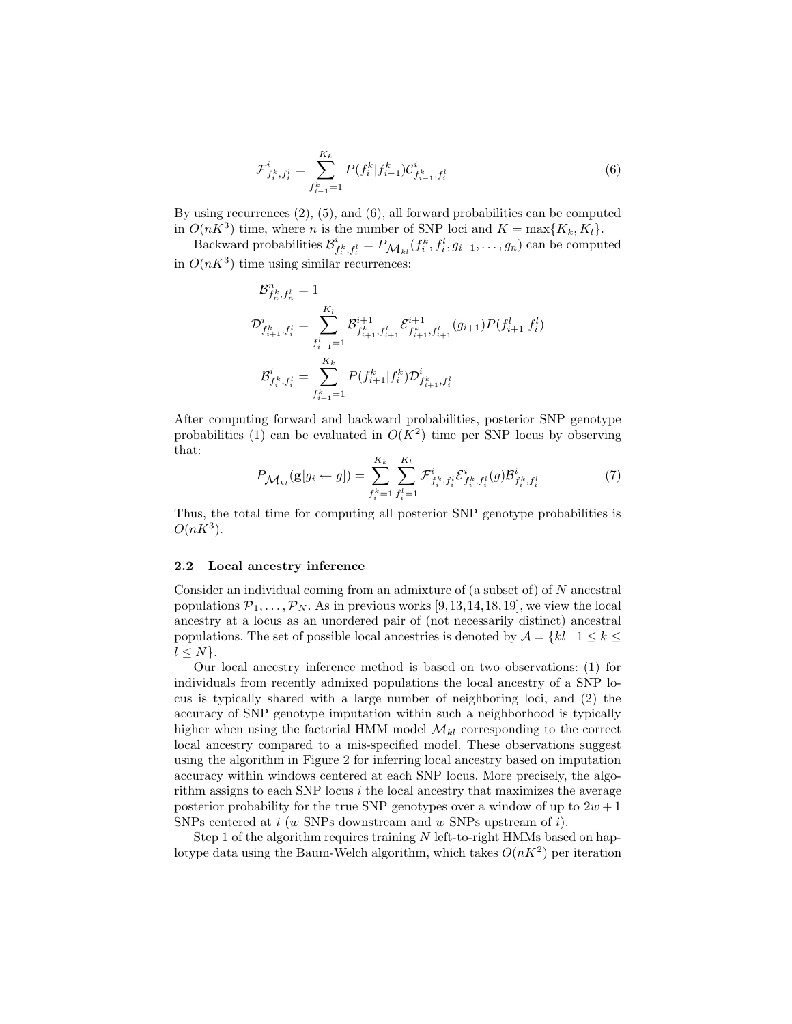$$
\mathcal{F}_{f_i^k, f_i^l}^i = \sum_{f_{i-1}^k=1}^{K_k} P(f_i^k | f_{i-1}^k) \mathcal{C}_{f_{i-1}^k, f_i^l}^i \tag{6}
$$

By using recurrences  $(2)$ ,  $(5)$ , and  $(6)$ , all forward probabilities can be computed in  $O(nK^3)$  time, where *n* is the number of SNP loci and  $K = \max\{K_k, K_l\}.$ 

Backward probabilities  $\mathcal{B}^i_{f_i^k, f_i^l} = P_{\mathcal{M}_{kl}}(f_i^k, f_i^l, g_{i+1}, \ldots, g_n)$  can be computed in  $O(nK^3)$  time using similar recurrences:

$$
\begin{aligned} \mathcal{B}_{f_h^k, f_n^l}^n &= 1\\ \mathcal{D}_{f_{i+1}^k, f_i^l}^i &= \sum_{f_{i+1}^l=1}^{K_l} \mathcal{B}_{f_{i+1}^k, f_{i+1}^l}^{i+1} \mathcal{E}_{f_{i+1}^k, f_{i+1}^l}^{i+1} (g_{i+1}) P(f_{i+1}^l | f_i^l) \\ \mathcal{B}_{f_i^k, f_i^l}^i &= \sum_{f_{i+1}^k=1}^{K_k} P(f_{i+1}^k | f_i^k) \mathcal{D}_{f_{i+1}^k, f_i^l}^i \end{aligned}
$$

After computing forward and backward probabilities, posterior SNP genotype probabilities (1) can be evaluated in  $O(K^2)$  time per SNP locus by observing that:

$$
P_{\mathcal{M}_{kl}}(\mathbf{g}[g_i \leftarrow g]) = \sum_{f_i^k=1}^{K_k} \sum_{f_i^l=1}^{K_l} \mathcal{F}_{f_i^k, f_i^l}^i \mathcal{E}_{f_i^k, f_i^l}^i(g) \mathcal{B}_{f_i^k, f_i^l}^i \tag{7}
$$

Thus, the total time for computing all posterior SNP genotype probabilities is  $O(nK^3)$ .

#### 2.2 Local ancestry inference

Consider an individual coming from an admixture of  $(a$  subset of) of  $N$  ancestral populations  $\mathcal{P}_1, \ldots, \mathcal{P}_N$ . As in previous works [9,13,14,18,19], we view the local ancestry at a locus as an unordered pair of (not necessarily distinct) ancestral populations. The set of possible local ancestries is denoted by  $A = \{kl \mid 1 \leq k \leq \}$  $l \leq N$ .

Our local ancestry inference method is based on two observations: (1) for individuals from recently admixed populations the local ancestry of a SNP locus is typically shared with a large number of neighboring loci, and (2) the accuracy of SNP genotype imputation within such a neighborhood is typically higher when using the factorial HMM model  $\mathcal{M}_{kl}$  corresponding to the correct local ancestry compared to a mis-specified model. These observations suggest using the algorithm in Figure 2 for inferring local ancestry based on imputation accuracy within windows centered at each SNP locus. More precisely, the algorithm assigns to each SNP locus  $i$  the local ancestry that maximizes the average posterior probability for the true SNP genotypes over a window of up to  $2w + 1$ SNPs centered at  $i \ (w \text{ SNPs}$  downstream and w SNPs upstream of  $i$ .

Step 1 of the algorithm requires training  $N$  left-to-right HMMs based on haplotype data using the Baum-Welch algorithm, which takes  $O(nK^2)$  per iteration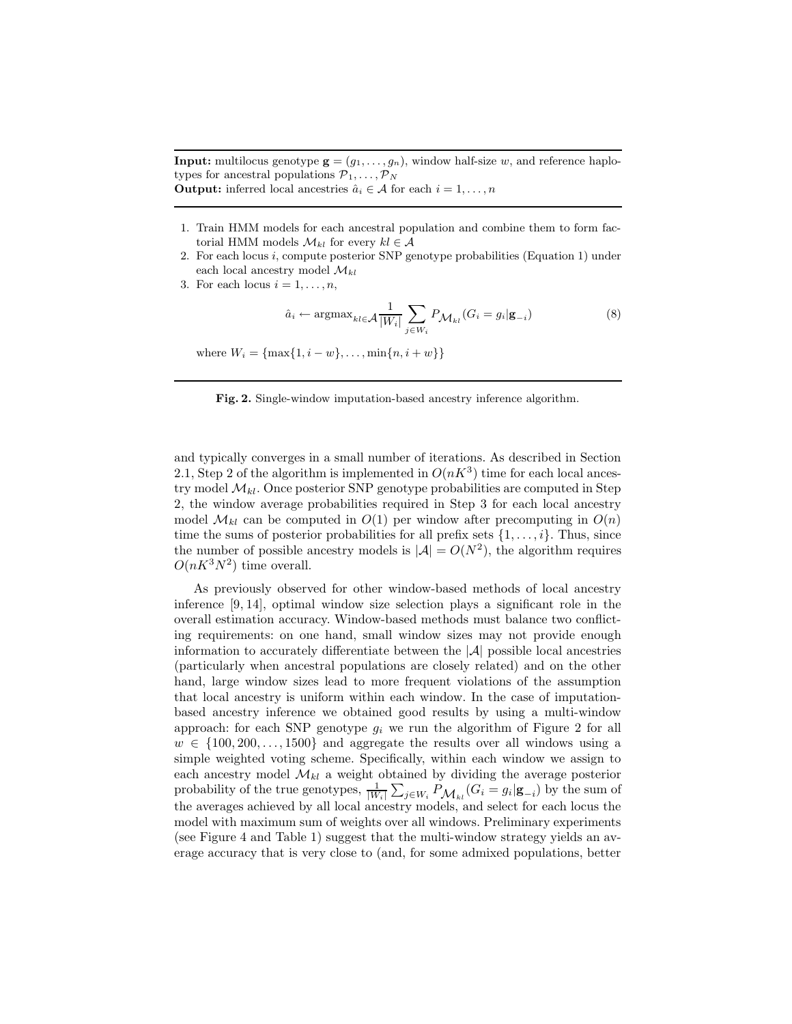**Input:** multilocus genotype  $\mathbf{g} = (g_1, \ldots, g_n)$ , window half-size w, and reference haplotypes for ancestral populations  $\mathcal{P}_1, \ldots, \mathcal{P}_N$ **Output:** inferred local ancestries  $\hat{a}_i \in \mathcal{A}$  for each  $i = 1, \ldots, n$ 

- 1. Train HMM models for each ancestral population and combine them to form factorial HMM models  $\mathcal{M}_{kl}$  for every  $kl \in \mathcal{A}$
- 2. For each locus  $i$ , compute posterior SNP genotype probabilities (Equation 1) under each local ancestry model  $\mathcal{M}_{kl}$
- 3. For each locus  $i = 1, \ldots, n$ ,

$$
\hat{a}_i \leftarrow \operatorname{argmax}_{kl \in \mathcal{A}} \frac{1}{|W_i|} \sum_{j \in W_i} P_{\mathcal{M}_{kl}}(G_i = g_i | \mathbf{g}_{-i})
$$
\n(8)

where  $W_i = \{ \max\{1, i - w\}, \ldots, \min\{n, i + w\} \}$ 

Fig. 2. Single-window imputation-based ancestry inference algorithm.

and typically converges in a small number of iterations. As described in Section 2.1, Step 2 of the algorithm is implemented in  $O(nK^3)$  time for each local ancestry model  $\mathcal{M}_{kl}$ . Once posterior SNP genotype probabilities are computed in Step 2, the window average probabilities required in Step 3 for each local ancestry model  $\mathcal{M}_{kl}$  can be computed in  $O(1)$  per window after precomputing in  $O(n)$ time the sums of posterior probabilities for all prefix sets  $\{1, \ldots, i\}$ . Thus, since the number of possible ancestry models is  $|\mathcal{A}| = O(N^2)$ , the algorithm requires  $O(nK^3N^2)$  time overall.

As previously observed for other window-based methods of local ancestry inference [9, 14], optimal window size selection plays a significant role in the overall estimation accuracy. Window-based methods must balance two conflicting requirements: on one hand, small window sizes may not provide enough information to accurately differentiate between the  $|\mathcal{A}|$  possible local ancestries (particularly when ancestral populations are closely related) and on the other hand, large window sizes lead to more frequent violations of the assumption that local ancestry is uniform within each window. In the case of imputationbased ancestry inference we obtained good results by using a multi-window approach: for each SNP genotype  $g_i$  we run the algorithm of Figure 2 for all  $w \in \{100, 200, \ldots, 1500\}$  and aggregate the results over all windows using a simple weighted voting scheme. Specifically, within each window we assign to each ancestry model  $\mathcal{M}_{kl}$  a weight obtained by dividing the average posterior probability of the true genotypes,  $\frac{1}{|W_i|} \sum_{j \in W_i} P_{\mathcal{M}_{kl}}(G_i = g_i | \mathbf{g}_{-i})$  by the sum of the averages achieved by all local ancestry models, and select for each locus the model with maximum sum of weights over all windows. Preliminary experiments (see Figure 4 and Table 1) suggest that the multi-window strategy yields an average accuracy that is very close to (and, for some admixed populations, better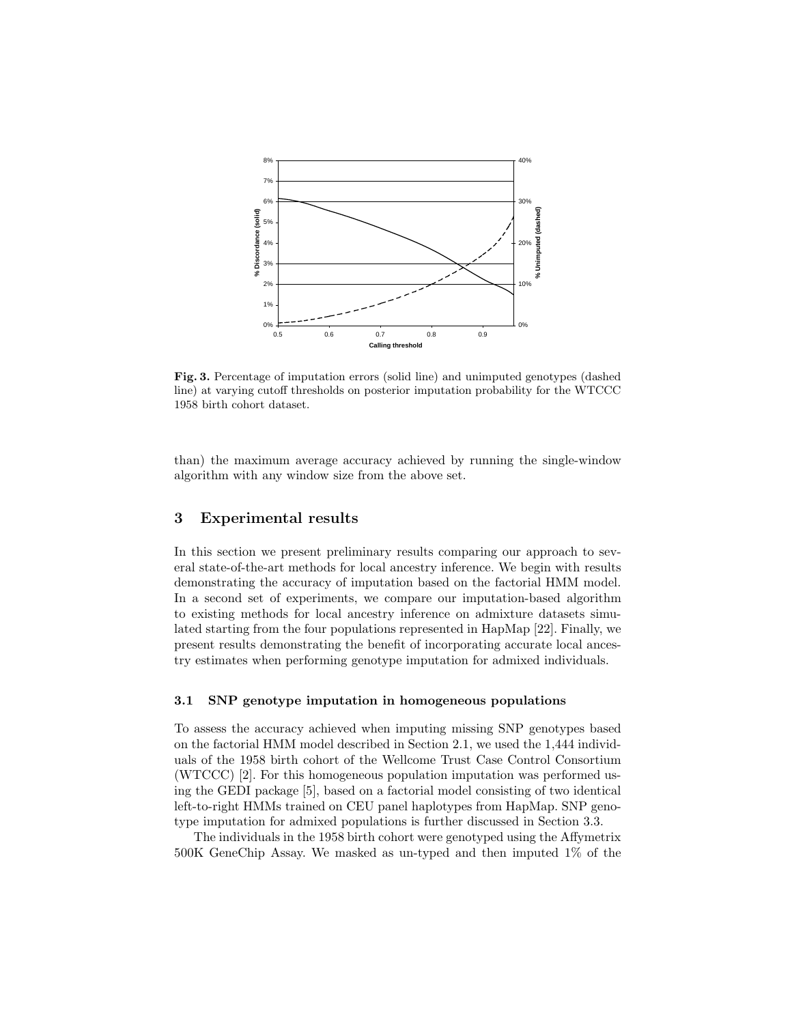

Fig. 3. Percentage of imputation errors (solid line) and unimputed genotypes (dashed line) at varying cutoff thresholds on posterior imputation probability for the WTCCC 1958 birth cohort dataset.

than) the maximum average accuracy achieved by running the single-window algorithm with any window size from the above set.

## 3 Experimental results

In this section we present preliminary results comparing our approach to several state-of-the-art methods for local ancestry inference. We begin with results demonstrating the accuracy of imputation based on the factorial HMM model. In a second set of experiments, we compare our imputation-based algorithm to existing methods for local ancestry inference on admixture datasets simulated starting from the four populations represented in HapMap [22]. Finally, we present results demonstrating the benefit of incorporating accurate local ancestry estimates when performing genotype imputation for admixed individuals.

#### 3.1 SNP genotype imputation in homogeneous populations

To assess the accuracy achieved when imputing missing SNP genotypes based on the factorial HMM model described in Section 2.1, we used the 1,444 individuals of the 1958 birth cohort of the Wellcome Trust Case Control Consortium (WTCCC) [2]. For this homogeneous population imputation was performed using the GEDI package [5], based on a factorial model consisting of two identical left-to-right HMMs trained on CEU panel haplotypes from HapMap. SNP genotype imputation for admixed populations is further discussed in Section 3.3.

The individuals in the 1958 birth cohort were genotyped using the Affymetrix 500K GeneChip Assay. We masked as un-typed and then imputed 1% of the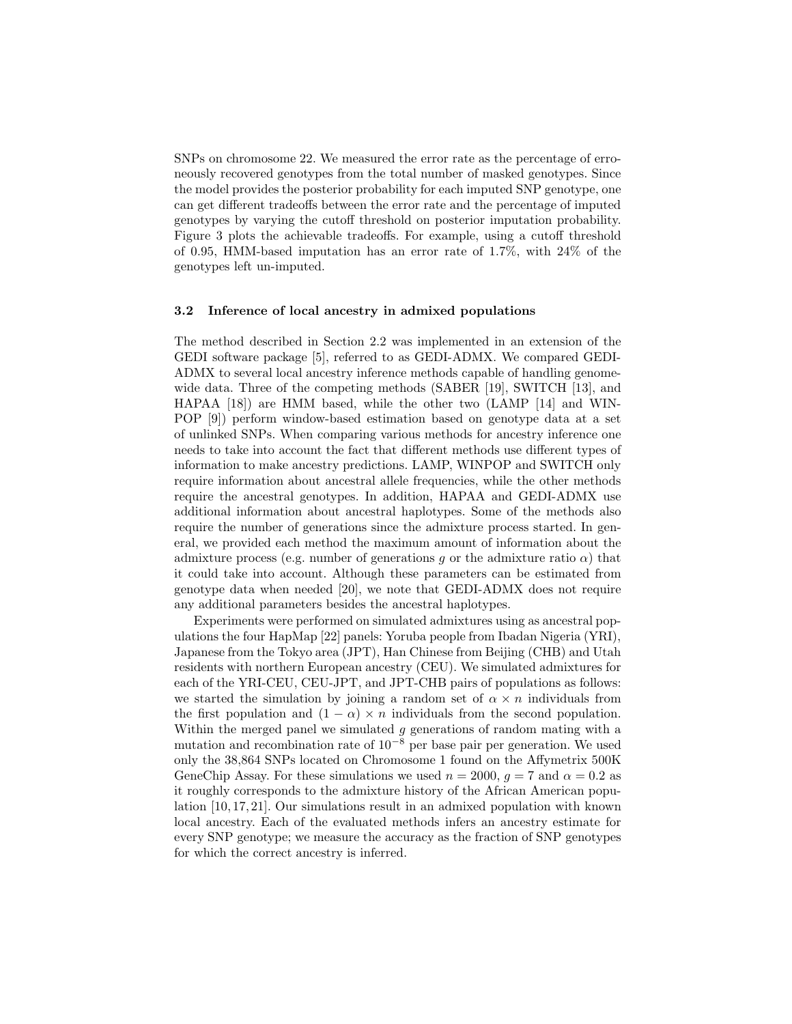SNPs on chromosome 22. We measured the error rate as the percentage of erroneously recovered genotypes from the total number of masked genotypes. Since the model provides the posterior probability for each imputed SNP genotype, one can get different tradeoffs between the error rate and the percentage of imputed genotypes by varying the cutoff threshold on posterior imputation probability. Figure 3 plots the achievable tradeoffs. For example, using a cutoff threshold of 0.95, HMM-based imputation has an error rate of 1.7%, with 24% of the genotypes left un-imputed.

#### 3.2 Inference of local ancestry in admixed populations

The method described in Section 2.2 was implemented in an extension of the GEDI software package [5], referred to as GEDI-ADMX. We compared GEDI-ADMX to several local ancestry inference methods capable of handling genomewide data. Three of the competing methods (SABER [19], SWITCH [13], and HAPAA [18]) are HMM based, while the other two (LAMP [14] and WIN-POP [9]) perform window-based estimation based on genotype data at a set of unlinked SNPs. When comparing various methods for ancestry inference one needs to take into account the fact that different methods use different types of information to make ancestry predictions. LAMP, WINPOP and SWITCH only require information about ancestral allele frequencies, while the other methods require the ancestral genotypes. In addition, HAPAA and GEDI-ADMX use additional information about ancestral haplotypes. Some of the methods also require the number of generations since the admixture process started. In general, we provided each method the maximum amount of information about the admixture process (e.g. number of generations g or the admixture ratio  $\alpha$ ) that it could take into account. Although these parameters can be estimated from genotype data when needed [20], we note that GEDI-ADMX does not require any additional parameters besides the ancestral haplotypes.

Experiments were performed on simulated admixtures using as ancestral populations the four HapMap [22] panels: Yoruba people from Ibadan Nigeria (YRI), Japanese from the Tokyo area (JPT), Han Chinese from Beijing (CHB) and Utah residents with northern European ancestry (CEU). We simulated admixtures for each of the YRI-CEU, CEU-JPT, and JPT-CHB pairs of populations as follows: we started the simulation by joining a random set of  $\alpha \times n$  individuals from the first population and  $(1 - \alpha) \times n$  individuals from the second population. Within the merged panel we simulated  $g$  generations of random mating with a mutation and recombination rate of 10−<sup>8</sup> per base pair per generation. We used only the 38,864 SNPs located on Chromosome 1 found on the Affymetrix 500K GeneChip Assay. For these simulations we used  $n = 2000$ ,  $q = 7$  and  $\alpha = 0.2$  as it roughly corresponds to the admixture history of the African American population [10, 17, 21]. Our simulations result in an admixed population with known local ancestry. Each of the evaluated methods infers an ancestry estimate for every SNP genotype; we measure the accuracy as the fraction of SNP genotypes for which the correct ancestry is inferred.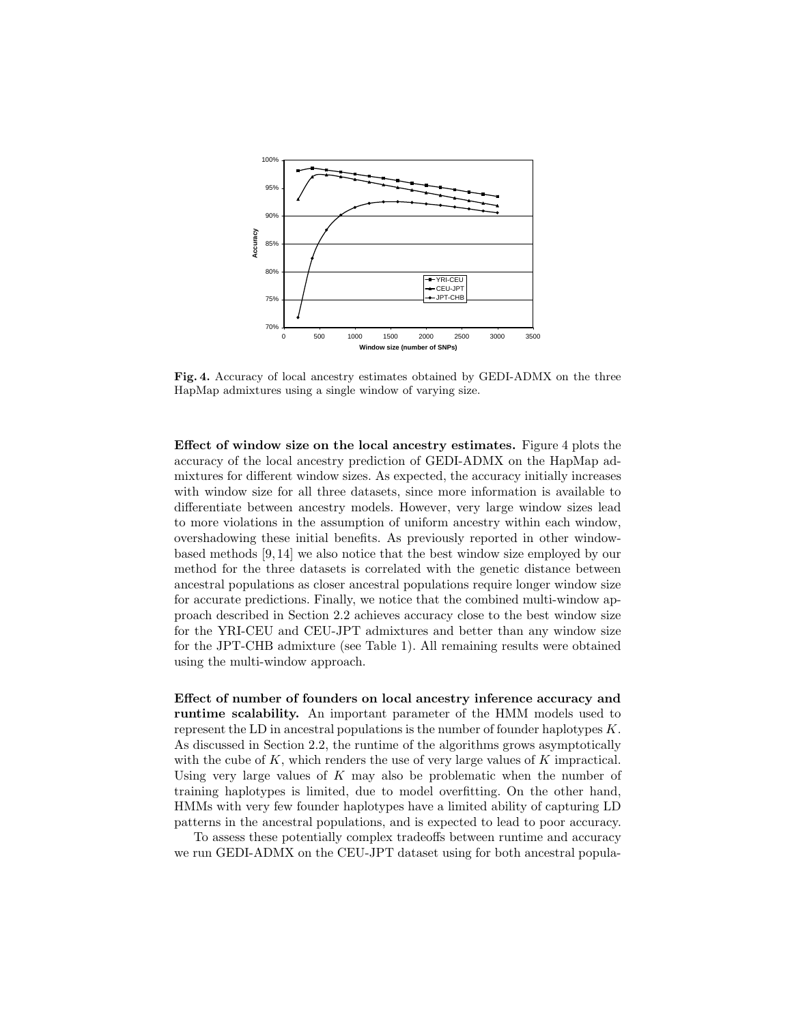

Fig. 4. Accuracy of local ancestry estimates obtained by GEDI-ADMX on the three HapMap admixtures using a single window of varying size.

Effect of window size on the local ancestry estimates. Figure 4 plots the accuracy of the local ancestry prediction of GEDI-ADMX on the HapMap admixtures for different window sizes. As expected, the accuracy initially increases with window size for all three datasets, since more information is available to differentiate between ancestry models. However, very large window sizes lead to more violations in the assumption of uniform ancestry within each window, overshadowing these initial benefits. As previously reported in other windowbased methods [9,14] we also notice that the best window size employed by our method for the three datasets is correlated with the genetic distance between ancestral populations as closer ancestral populations require longer window size for accurate predictions. Finally, we notice that the combined multi-window approach described in Section 2.2 achieves accuracy close to the best window size for the YRI-CEU and CEU-JPT admixtures and better than any window size for the JPT-CHB admixture (see Table 1). All remaining results were obtained using the multi-window approach.

Effect of number of founders on local ancestry inference accuracy and runtime scalability. An important parameter of the HMM models used to represent the LD in ancestral populations is the number of founder haplotypes K. As discussed in Section 2.2, the runtime of the algorithms grows asymptotically with the cube of  $K$ , which renders the use of very large values of  $K$  impractical. Using very large values of  $K$  may also be problematic when the number of training haplotypes is limited, due to model overfitting. On the other hand, HMMs with very few founder haplotypes have a limited ability of capturing LD patterns in the ancestral populations, and is expected to lead to poor accuracy.

To assess these potentially complex tradeoffs between runtime and accuracy we run GEDI-ADMX on the CEU-JPT dataset using for both ancestral popula-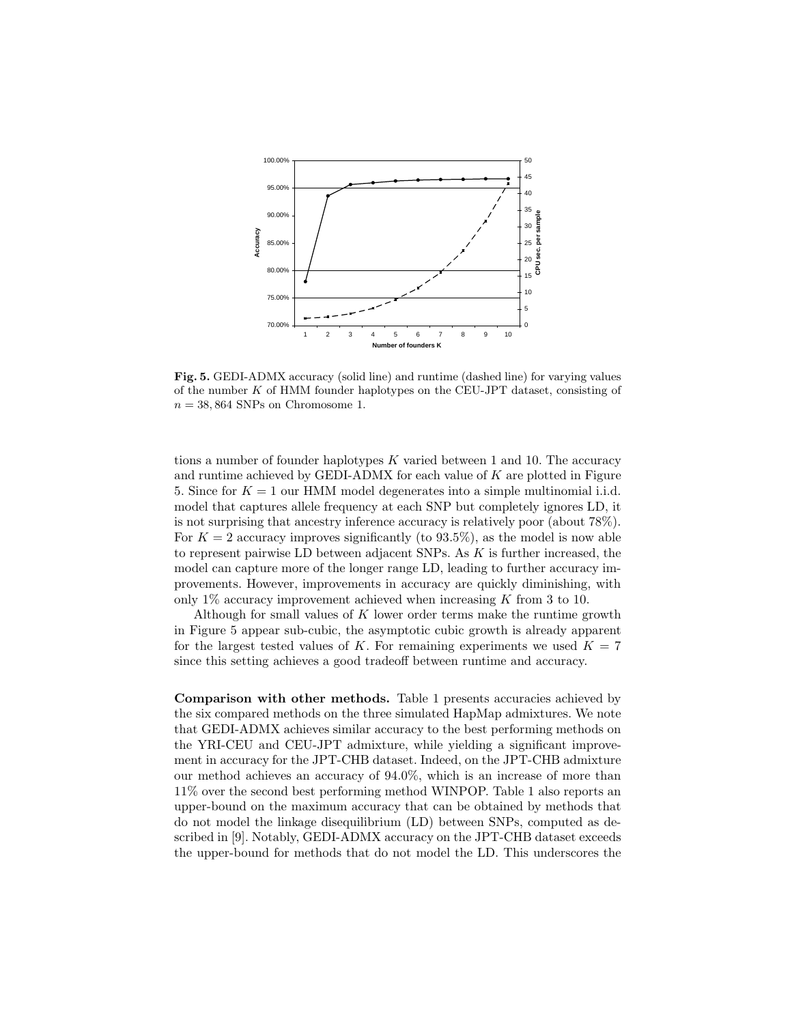

Fig. 5. GEDI-ADMX accuracy (solid line) and runtime (dashed line) for varying values of the number K of HMM founder haplotypes on the CEU-JPT dataset, consisting of  $n = 38,864$  SNPs on Chromosome 1.

tions a number of founder haplotypes  $K$  varied between 1 and 10. The accuracy and runtime achieved by GEDI-ADMX for each value of  $K$  are plotted in Figure 5. Since for  $K = 1$  our HMM model degenerates into a simple multinomial i.i.d. model that captures allele frequency at each SNP but completely ignores LD, it is not surprising that ancestry inference accuracy is relatively poor (about 78%). For  $K = 2$  accuracy improves significantly (to 93.5%), as the model is now able to represent pairwise LD between adjacent SNPs. As  $K$  is further increased, the model can capture more of the longer range LD, leading to further accuracy improvements. However, improvements in accuracy are quickly diminishing, with only  $1\%$  accuracy improvement achieved when increasing K from 3 to 10.

Although for small values of  $K$  lower order terms make the runtime growth in Figure 5 appear sub-cubic, the asymptotic cubic growth is already apparent for the largest tested values of K. For remaining experiments we used  $K = 7$ since this setting achieves a good tradeoff between runtime and accuracy.

Comparison with other methods. Table 1 presents accuracies achieved by the six compared methods on the three simulated HapMap admixtures. We note that GEDI-ADMX achieves similar accuracy to the best performing methods on the YRI-CEU and CEU-JPT admixture, while yielding a significant improvement in accuracy for the JPT-CHB dataset. Indeed, on the JPT-CHB admixture our method achieves an accuracy of 94.0%, which is an increase of more than 11% over the second best performing method WINPOP. Table 1 also reports an upper-bound on the maximum accuracy that can be obtained by methods that do not model the linkage disequilibrium (LD) between SNPs, computed as described in [9]. Notably, GEDI-ADMX accuracy on the JPT-CHB dataset exceeds the upper-bound for methods that do not model the LD. This underscores the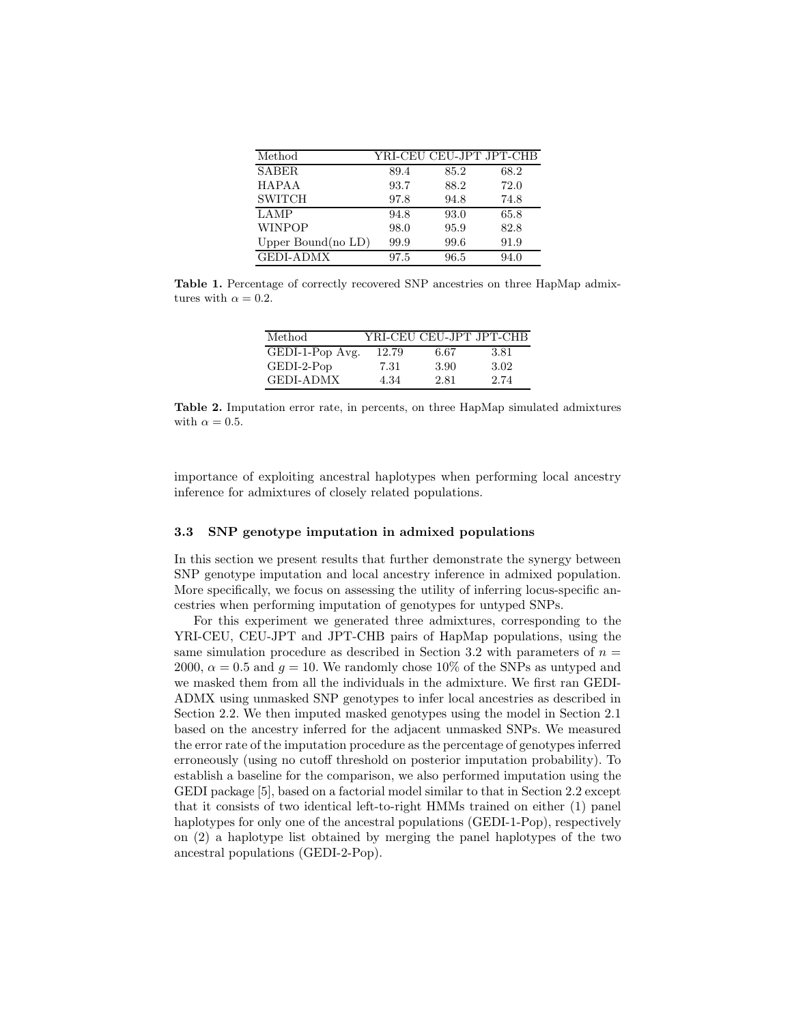| Method                |      | YRI-CEU CEU-JPT JPT-CHB |      |
|-----------------------|------|-------------------------|------|
| SABER.                | 89.4 | 85.2                    | 68.2 |
| <b>HAPAA</b>          | 93.7 | 88.2                    | 72.0 |
| <b>SWITCH</b>         | 97.8 | 94.8                    | 74.8 |
| <b>LAMP</b>           | 94.8 | 93.0                    | 65.8 |
| <b>WINPOP</b>         | 98.0 | 95.9                    | 82.8 |
| Upper Bound(no $LD$ ) | 99.9 | 99.6                    | 91.9 |
| <b>GEDI-ADMX</b>      | 97.5 | 96.5                    | 94.0 |

Table 1. Percentage of correctly recovered SNP ancestries on three HapMap admixtures with  $\alpha = 0.2$ .

| Method           |       |      | YRI-CEU CEU-JPT JPT-CHB |
|------------------|-------|------|-------------------------|
| $GEDI-1-PopAvg.$ | 12.79 | 6.67 | 3.81                    |
| GEDI-2-Pop       | 7.31  | 3.90 | 3.02                    |
| <b>GEDI-ADMX</b> | 4.34  | 2.81 | 2.74                    |

Table 2. Imputation error rate, in percents, on three HapMap simulated admixtures with  $\alpha = 0.5$ .

importance of exploiting ancestral haplotypes when performing local ancestry inference for admixtures of closely related populations.

#### 3.3 SNP genotype imputation in admixed populations

In this section we present results that further demonstrate the synergy between SNP genotype imputation and local ancestry inference in admixed population. More specifically, we focus on assessing the utility of inferring locus-specific ancestries when performing imputation of genotypes for untyped SNPs.

For this experiment we generated three admixtures, corresponding to the YRI-CEU, CEU-JPT and JPT-CHB pairs of HapMap populations, using the same simulation procedure as described in Section 3.2 with parameters of  $n =$ 2000,  $\alpha = 0.5$  and  $g = 10$ . We randomly chose 10% of the SNPs as untyped and we masked them from all the individuals in the admixture. We first ran GEDI-ADMX using unmasked SNP genotypes to infer local ancestries as described in Section 2.2. We then imputed masked genotypes using the model in Section 2.1 based on the ancestry inferred for the adjacent unmasked SNPs. We measured the error rate of the imputation procedure as the percentage of genotypes inferred erroneously (using no cutoff threshold on posterior imputation probability). To establish a baseline for the comparison, we also performed imputation using the GEDI package [5], based on a factorial model similar to that in Section 2.2 except that it consists of two identical left-to-right HMMs trained on either (1) panel haplotypes for only one of the ancestral populations (GEDI-1-Pop), respectively on (2) a haplotype list obtained by merging the panel haplotypes of the two ancestral populations (GEDI-2-Pop).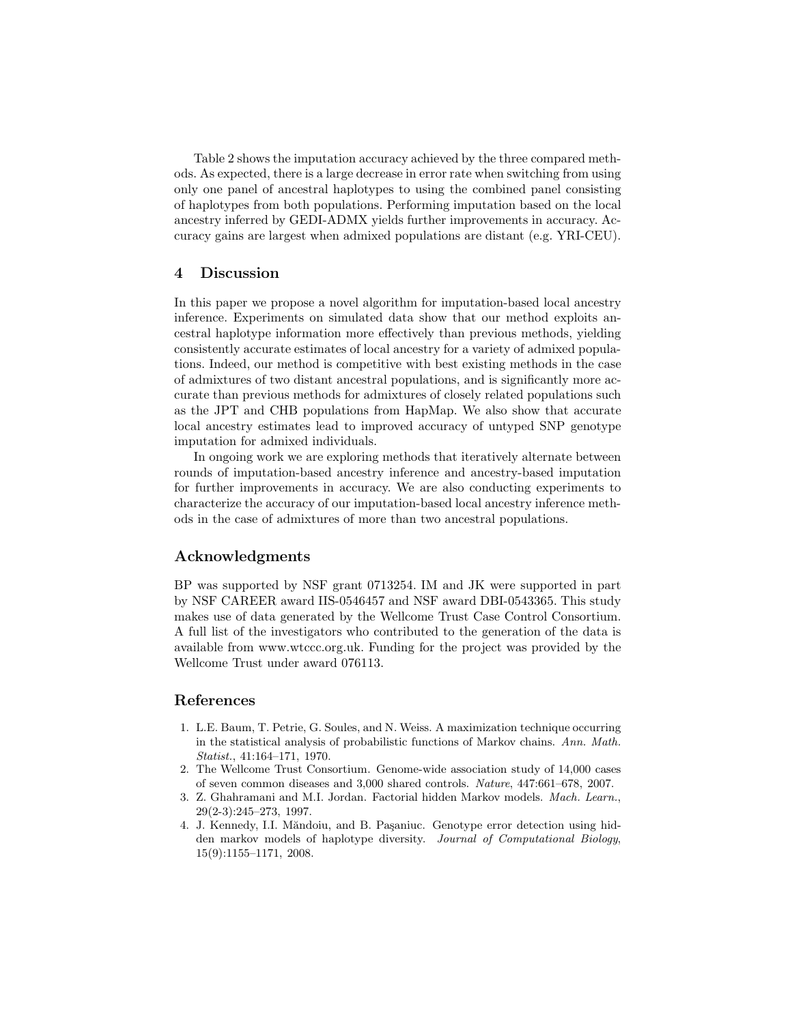Table 2 shows the imputation accuracy achieved by the three compared methods. As expected, there is a large decrease in error rate when switching from using only one panel of ancestral haplotypes to using the combined panel consisting of haplotypes from both populations. Performing imputation based on the local ancestry inferred by GEDI-ADMX yields further improvements in accuracy. Accuracy gains are largest when admixed populations are distant (e.g. YRI-CEU).

## 4 Discussion

In this paper we propose a novel algorithm for imputation-based local ancestry inference. Experiments on simulated data show that our method exploits ancestral haplotype information more effectively than previous methods, yielding consistently accurate estimates of local ancestry for a variety of admixed populations. Indeed, our method is competitive with best existing methods in the case of admixtures of two distant ancestral populations, and is significantly more accurate than previous methods for admixtures of closely related populations such as the JPT and CHB populations from HapMap. We also show that accurate local ancestry estimates lead to improved accuracy of untyped SNP genotype imputation for admixed individuals.

In ongoing work we are exploring methods that iteratively alternate between rounds of imputation-based ancestry inference and ancestry-based imputation for further improvements in accuracy. We are also conducting experiments to characterize the accuracy of our imputation-based local ancestry inference methods in the case of admixtures of more than two ancestral populations.

### Acknowledgments

BP was supported by NSF grant 0713254. IM and JK were supported in part by NSF CAREER award IIS-0546457 and NSF award DBI-0543365. This study makes use of data generated by the Wellcome Trust Case Control Consortium. A full list of the investigators who contributed to the generation of the data is available from www.wtccc.org.uk. Funding for the project was provided by the Wellcome Trust under award 076113.

## References

- 1. L.E. Baum, T. Petrie, G. Soules, and N. Weiss. A maximization technique occurring in the statistical analysis of probabilistic functions of Markov chains. Ann. Math. Statist., 41:164–171, 1970.
- 2. The Wellcome Trust Consortium. Genome-wide association study of 14,000 cases of seven common diseases and 3,000 shared controls. Nature, 447:661–678, 2007.
- 3. Z. Ghahramani and M.I. Jordan. Factorial hidden Markov models. Mach. Learn., 29(2-3):245–273, 1997.
- 4. J. Kennedy, I.I. Măndoiu, and B. Paşaniuc. Genotype error detection using hidden markov models of haplotype diversity. Journal of Computational Biology, 15(9):1155–1171, 2008.